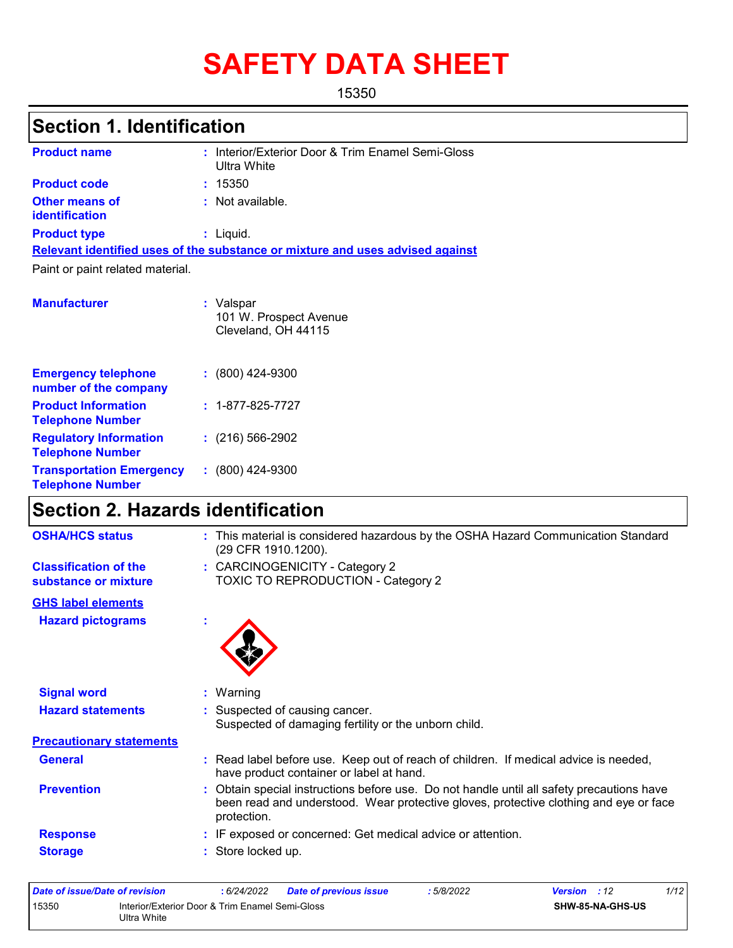# **SAFETY DATA SHEET**

15350

### **Section 1. Identification**

| <b>Product name</b>                     | : Interior/Exterior Door & Trim Enamel Semi-Gloss<br>Ultra White              |
|-----------------------------------------|-------------------------------------------------------------------------------|
| <b>Product code</b>                     | : 15350                                                                       |
| Other means of<br><b>identification</b> | : Not available.                                                              |
| <b>Product type</b>                     | $:$ Liquid.                                                                   |
|                                         | Relevant identified uses of the substance or mixture and uses advised against |
| Paint or paint related material.        |                                                                               |
|                                         |                                                                               |
| <b>Manufacturer</b>                     | : Valspar<br>101 W. Prospect Avenue<br>Cleveland, OH 44115                    |
| <b>Emergency telephone</b>              | $: (800)$ 424-9300                                                            |

| number of the company                                      |                          |
|------------------------------------------------------------|--------------------------|
| <b>Product Information</b><br><b>Telephone Number</b>      | $: 1 - 877 - 825 - 7727$ |
| <b>Regulatory Information</b><br><b>Telephone Number</b>   | $: (216) 566 - 2902$     |
| <b>Transportation Emergency</b><br><b>Telephone Number</b> | $: (800)$ 424-9300       |

## **Section 2. Hazards identification**

| <b>OSHA/HCS status</b>                               | : This material is considered hazardous by the OSHA Hazard Communication Standard<br>(29 CFR 1910.1200).                                                                                        |
|------------------------------------------------------|-------------------------------------------------------------------------------------------------------------------------------------------------------------------------------------------------|
| <b>Classification of the</b><br>substance or mixture | : CARCINOGENICITY - Category 2<br><b>TOXIC TO REPRODUCTION - Category 2</b>                                                                                                                     |
| <b>GHS label elements</b>                            |                                                                                                                                                                                                 |
| <b>Hazard pictograms</b>                             |                                                                                                                                                                                                 |
| <b>Signal word</b>                                   | : Warning                                                                                                                                                                                       |
| <b>Hazard statements</b>                             | : Suspected of causing cancer.<br>Suspected of damaging fertility or the unborn child.                                                                                                          |
| <b>Precautionary statements</b>                      |                                                                                                                                                                                                 |
| <b>General</b>                                       | : Read label before use. Keep out of reach of children. If medical advice is needed,<br>have product container or label at hand.                                                                |
| <b>Prevention</b>                                    | Obtain special instructions before use. Do not handle until all safety precautions have<br>been read and understood. Wear protective gloves, protective clothing and eye or face<br>protection. |
| <b>Response</b>                                      | : IF exposed or concerned: Get medical advice or attention.                                                                                                                                     |
| <b>Storage</b>                                       | : Store locked up.                                                                                                                                                                              |

| Date of issue/Date of revision                                          |  | 6/24/2022 | <b>Date of previous issue</b> | : 5/8/2022 | <b>Version</b> : 12     |  | 1/12 |
|-------------------------------------------------------------------------|--|-----------|-------------------------------|------------|-------------------------|--|------|
| 15350<br>Interior/Exterior Door & Trim Enamel Semi-Gloss<br>Ultra White |  |           |                               |            | <b>SHW-85-NA-GHS-US</b> |  |      |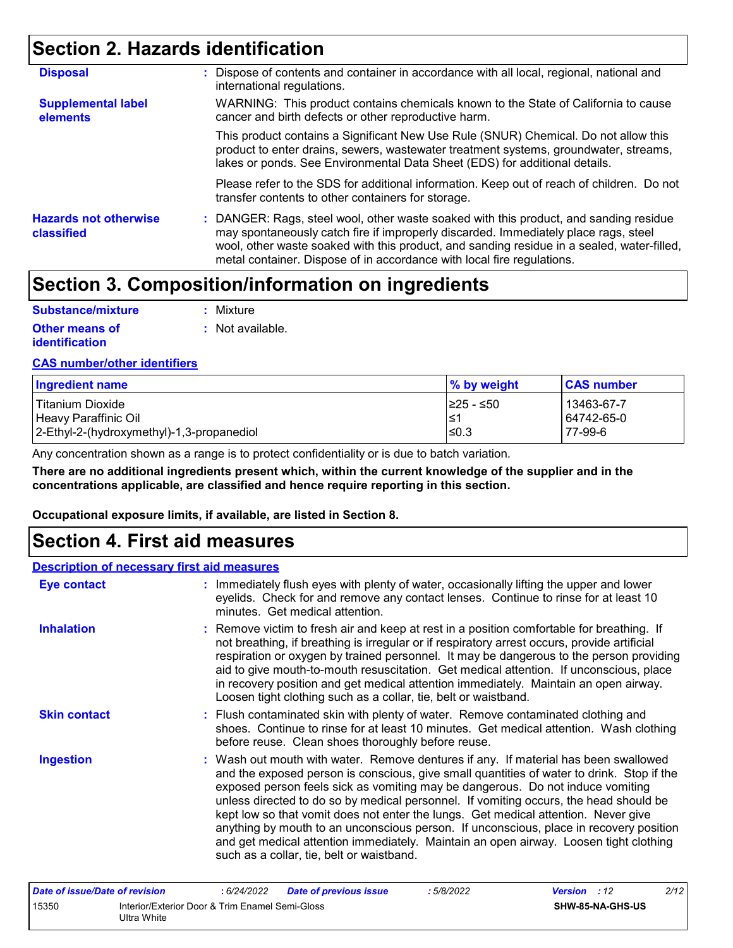### **Section 2. Hazards identification**

| <b>Disposal</b>                            | : Dispose of contents and container in accordance with all local, regional, national and<br>international regulations.                                                                                                                                                                                                                               |
|--------------------------------------------|------------------------------------------------------------------------------------------------------------------------------------------------------------------------------------------------------------------------------------------------------------------------------------------------------------------------------------------------------|
| <b>Supplemental label</b><br>elements      | WARNING: This product contains chemicals known to the State of California to cause<br>cancer and birth defects or other reproductive harm.                                                                                                                                                                                                           |
|                                            | This product contains a Significant New Use Rule (SNUR) Chemical. Do not allow this<br>product to enter drains, sewers, wastewater treatment systems, groundwater, streams,<br>lakes or ponds. See Environmental Data Sheet (EDS) for additional details.                                                                                            |
|                                            | Please refer to the SDS for additional information. Keep out of reach of children. Do not<br>transfer contents to other containers for storage.                                                                                                                                                                                                      |
| <b>Hazards not otherwise</b><br>classified | : DANGER: Rags, steel wool, other waste soaked with this product, and sanding residue<br>may spontaneously catch fire if improperly discarded. Immediately place rags, steel<br>wool, other waste soaked with this product, and sanding residue in a sealed, water-filled,<br>metal container. Dispose of in accordance with local fire regulations. |

### **Section 3. Composition/information on ingredients**

| Substance/mixture                       | : Mixture        |
|-----------------------------------------|------------------|
| Other means of<br><b>identification</b> | : Not available. |

#### **CAS number/other identifiers**

| <b>Ingredient name</b>                    | % by weight | <b>CAS number</b> |
|-------------------------------------------|-------------|-------------------|
| l Titanium Dioxide                        | 225 - ≤50   | 13463-67-7        |
| Heavy Paraffinic Oil                      | l≤′         | 64742-65-0        |
| 2-Ethyl-2-(hydroxymethyl)-1,3-propanediol | l≤0.3       | 77-99-6           |

Any concentration shown as a range is to protect confidentiality or is due to batch variation.

**There are no additional ingredients present which, within the current knowledge of the supplier and in the concentrations applicable, are classified and hence require reporting in this section.**

**Occupational exposure limits, if available, are listed in Section 8.**

### **Section 4. First aid measures**

| <b>Description of necessary first aid measures</b> |                                                                                                                                                                                                                                                                                                                                                                                                                                                                                                                                                                                                                                                                                   |
|----------------------------------------------------|-----------------------------------------------------------------------------------------------------------------------------------------------------------------------------------------------------------------------------------------------------------------------------------------------------------------------------------------------------------------------------------------------------------------------------------------------------------------------------------------------------------------------------------------------------------------------------------------------------------------------------------------------------------------------------------|
| <b>Eye contact</b>                                 | : Immediately flush eyes with plenty of water, occasionally lifting the upper and lower<br>eyelids. Check for and remove any contact lenses. Continue to rinse for at least 10<br>minutes. Get medical attention.                                                                                                                                                                                                                                                                                                                                                                                                                                                                 |
| <b>Inhalation</b>                                  | : Remove victim to fresh air and keep at rest in a position comfortable for breathing. If<br>not breathing, if breathing is irregular or if respiratory arrest occurs, provide artificial<br>respiration or oxygen by trained personnel. It may be dangerous to the person providing<br>aid to give mouth-to-mouth resuscitation. Get medical attention. If unconscious, place<br>in recovery position and get medical attention immediately. Maintain an open airway.<br>Loosen tight clothing such as a collar, tie, belt or waistband.                                                                                                                                         |
| <b>Skin contact</b>                                | : Flush contaminated skin with plenty of water. Remove contaminated clothing and<br>shoes. Continue to rinse for at least 10 minutes. Get medical attention. Wash clothing<br>before reuse. Clean shoes thoroughly before reuse.                                                                                                                                                                                                                                                                                                                                                                                                                                                  |
| <b>Ingestion</b>                                   | : Wash out mouth with water. Remove dentures if any. If material has been swallowed<br>and the exposed person is conscious, give small quantities of water to drink. Stop if the<br>exposed person feels sick as vomiting may be dangerous. Do not induce vomiting<br>unless directed to do so by medical personnel. If vomiting occurs, the head should be<br>kept low so that vomit does not enter the lungs. Get medical attention. Never give<br>anything by mouth to an unconscious person. If unconscious, place in recovery position<br>and get medical attention immediately. Maintain an open airway. Loosen tight clothing<br>such as a collar, tie, belt or waistband. |
| Date of issue/Date of revision                     | 2/12<br>: 6/24/2022<br>: 5/8/2022<br><b>Version</b> : 12<br>Date of previous issue                                                                                                                                                                                                                                                                                                                                                                                                                                                                                                                                                                                                |

| Date of issue/Date of revision |                                                                | 6/24/2022 | <b>Date of previous issue</b> | 5/8/2022 | <b>Version</b> : 12 |                  | 2/12 |
|--------------------------------|----------------------------------------------------------------|-----------|-------------------------------|----------|---------------------|------------------|------|
| 15350                          | Interior/Exterior Door & Trim Enamel Semi-Gloss<br>Ultra White |           |                               |          |                     | SHW-85-NA-GHS-US |      |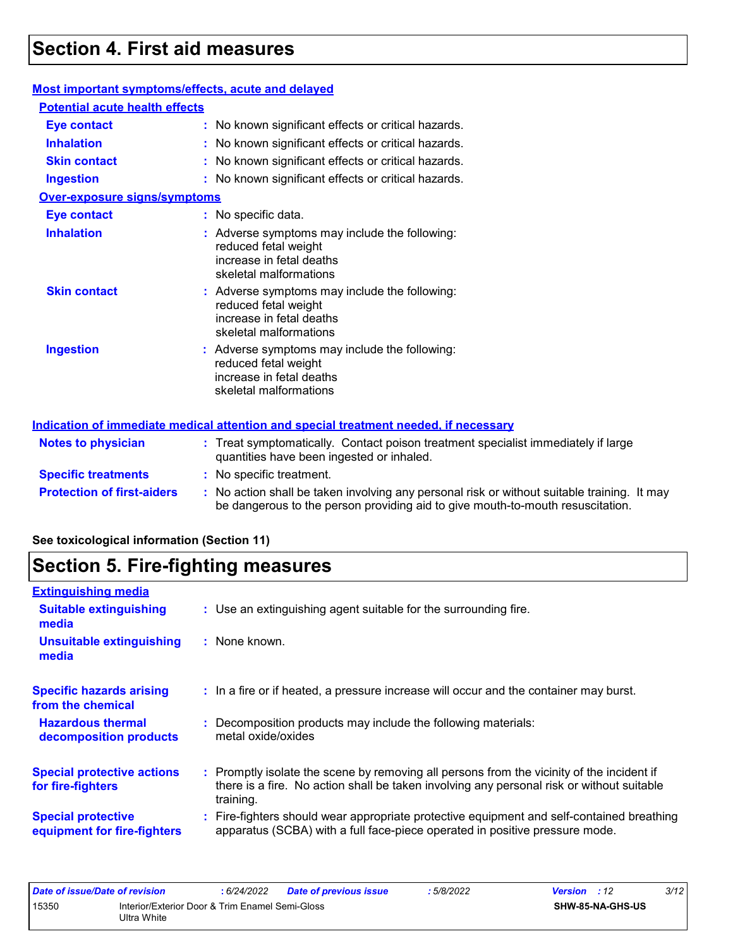### **Section 4. First aid measures**

#### **Most important symptoms/effects, acute and delayed**

| <b>Potential acute health effects</b> |                                                                                                                             |
|---------------------------------------|-----------------------------------------------------------------------------------------------------------------------------|
| <b>Eye contact</b>                    | : No known significant effects or critical hazards.                                                                         |
| <b>Inhalation</b>                     | : No known significant effects or critical hazards.                                                                         |
| <b>Skin contact</b>                   | : No known significant effects or critical hazards.                                                                         |
| <b>Ingestion</b>                      | : No known significant effects or critical hazards.                                                                         |
| <b>Over-exposure signs/symptoms</b>   |                                                                                                                             |
| <b>Eye contact</b>                    | : No specific data.                                                                                                         |
| <b>Inhalation</b>                     | : Adverse symptoms may include the following:<br>reduced fetal weight<br>increase in fetal deaths<br>skeletal malformations |
| <b>Skin contact</b>                   | : Adverse symptoms may include the following:<br>reduced fetal weight<br>increase in fetal deaths<br>skeletal malformations |
| <b>Ingestion</b>                      | : Adverse symptoms may include the following:<br>reduced fetal weight<br>increase in fetal deaths<br>skeletal malformations |

#### **Protection of first-aiders** : No action shall be taken involving any personal risk or without suitable training. It may be dangerous to the person providing aid to give mouth-to-mouth resuscitation. **Notes to physician :** Treat symptomatically. Contact poison treatment specialist immediately if large quantities have been ingested or inhaled. **Specific treatments :** No specific treatment. **Indication of immediate medical attention and special treatment needed, if necessary**

### **See toxicological information (Section 11)**

### **Section 5. Fire-fighting measures**

| <b>Extinguishing media</b>                               |                                                                                                                                                                                                     |
|----------------------------------------------------------|-----------------------------------------------------------------------------------------------------------------------------------------------------------------------------------------------------|
| <b>Suitable extinguishing</b><br>media                   | : Use an extinguishing agent suitable for the surrounding fire.                                                                                                                                     |
| <b>Unsuitable extinguishing</b><br>media                 | : None known.                                                                                                                                                                                       |
| <b>Specific hazards arising</b><br>from the chemical     | : In a fire or if heated, a pressure increase will occur and the container may burst.                                                                                                               |
| <b>Hazardous thermal</b><br>decomposition products       | Decomposition products may include the following materials:<br>metal oxide/oxides                                                                                                                   |
| <b>Special protective actions</b><br>for fire-fighters   | : Promptly isolate the scene by removing all persons from the vicinity of the incident if<br>there is a fire. No action shall be taken involving any personal risk or without suitable<br>training. |
| <b>Special protective</b><br>equipment for fire-fighters | : Fire-fighters should wear appropriate protective equipment and self-contained breathing<br>apparatus (SCBA) with a full face-piece operated in positive pressure mode.                            |

| Date of issue/Date of revision                                                 | : 6/24/2022 | <b>Date of previous issue</b> | 5/8/2022         | <b>Version</b> : 12 | 3/12 |
|--------------------------------------------------------------------------------|-------------|-------------------------------|------------------|---------------------|------|
| 15350<br>Interior/Exterior Door & Trim Enamel Semi-Gloss<br><b>Ultra White</b> |             |                               | SHW-85-NA-GHS-US |                     |      |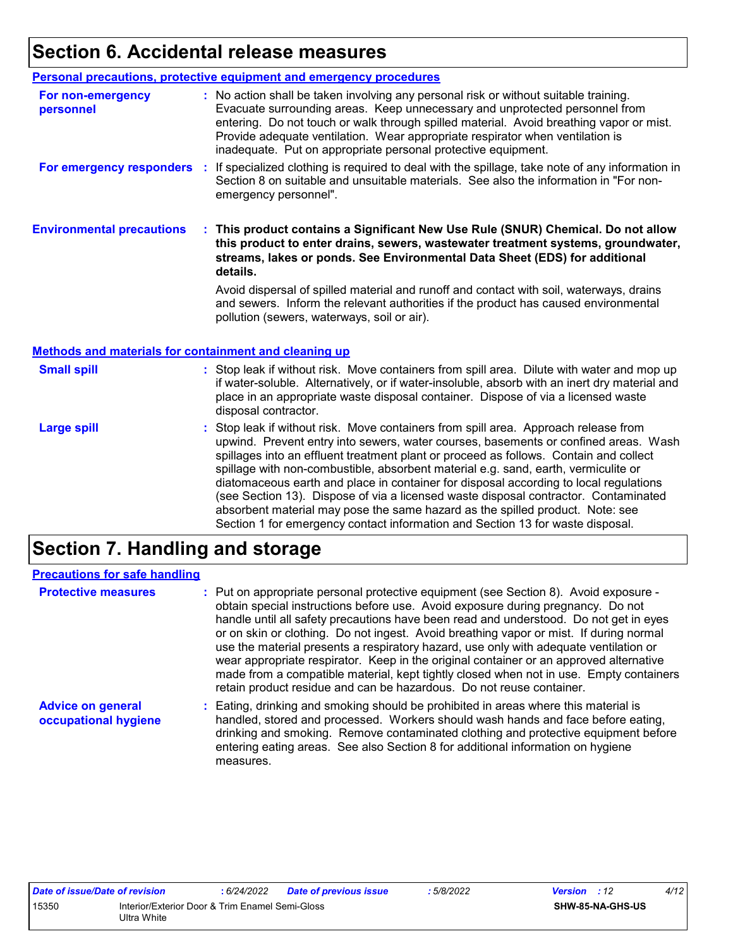### **Section 6. Accidental release measures**

|                                                              | Personal precautions, protective equipment and emergency procedures                                                                                                                                                                                                                                                                                                                                              |
|--------------------------------------------------------------|------------------------------------------------------------------------------------------------------------------------------------------------------------------------------------------------------------------------------------------------------------------------------------------------------------------------------------------------------------------------------------------------------------------|
| For non-emergency<br>personnel                               | : No action shall be taken involving any personal risk or without suitable training.<br>Evacuate surrounding areas. Keep unnecessary and unprotected personnel from<br>entering. Do not touch or walk through spilled material. Avoid breathing vapor or mist.<br>Provide adequate ventilation. Wear appropriate respirator when ventilation is<br>inadequate. Put on appropriate personal protective equipment. |
| For emergency responders                                     | : If specialized clothing is required to deal with the spillage, take note of any information in<br>Section 8 on suitable and unsuitable materials. See also the information in "For non-<br>emergency personnel".                                                                                                                                                                                               |
| <b>Environmental precautions</b>                             | This product contains a Significant New Use Rule (SNUR) Chemical. Do not allow<br>this product to enter drains, sewers, wastewater treatment systems, groundwater,<br>streams, lakes or ponds. See Environmental Data Sheet (EDS) for additional<br>details.                                                                                                                                                     |
|                                                              | Avoid dispersal of spilled material and runoff and contact with soil, waterways, drains<br>and sewers. Inform the relevant authorities if the product has caused environmental<br>pollution (sewers, waterways, soil or air).                                                                                                                                                                                    |
|                                                              |                                                                                                                                                                                                                                                                                                                                                                                                                  |
| <b>Methods and materials for containment and cleaning up</b> |                                                                                                                                                                                                                                                                                                                                                                                                                  |
| <b>Small spill</b>                                           | : Stop leak if without risk. Move containers from spill area. Dilute with water and mop up<br>if water-soluble. Alternatively, or if water-insoluble, absorb with an inert dry material and<br>place in an appropriate waste disposal container. Dispose of via a licensed waste<br>disposal contractor.                                                                                                         |

### **Section 7. Handling and storage**

| <b>Precautions for safe handling</b>             |                                                                                                                                                                                                                                                                                                                                                                                                                                                                                                                                                                                                                                                                                                                 |
|--------------------------------------------------|-----------------------------------------------------------------------------------------------------------------------------------------------------------------------------------------------------------------------------------------------------------------------------------------------------------------------------------------------------------------------------------------------------------------------------------------------------------------------------------------------------------------------------------------------------------------------------------------------------------------------------------------------------------------------------------------------------------------|
| <b>Protective measures</b>                       | : Put on appropriate personal protective equipment (see Section 8). Avoid exposure -<br>obtain special instructions before use. Avoid exposure during pregnancy. Do not<br>handle until all safety precautions have been read and understood. Do not get in eyes<br>or on skin or clothing. Do not ingest. Avoid breathing vapor or mist. If during normal<br>use the material presents a respiratory hazard, use only with adequate ventilation or<br>wear appropriate respirator. Keep in the original container or an approved alternative<br>made from a compatible material, kept tightly closed when not in use. Empty containers<br>retain product residue and can be hazardous. Do not reuse container. |
| <b>Advice on general</b><br>occupational hygiene | : Eating, drinking and smoking should be prohibited in areas where this material is<br>handled, stored and processed. Workers should wash hands and face before eating,<br>drinking and smoking. Remove contaminated clothing and protective equipment before<br>entering eating areas. See also Section 8 for additional information on hygiene<br>measures.                                                                                                                                                                                                                                                                                                                                                   |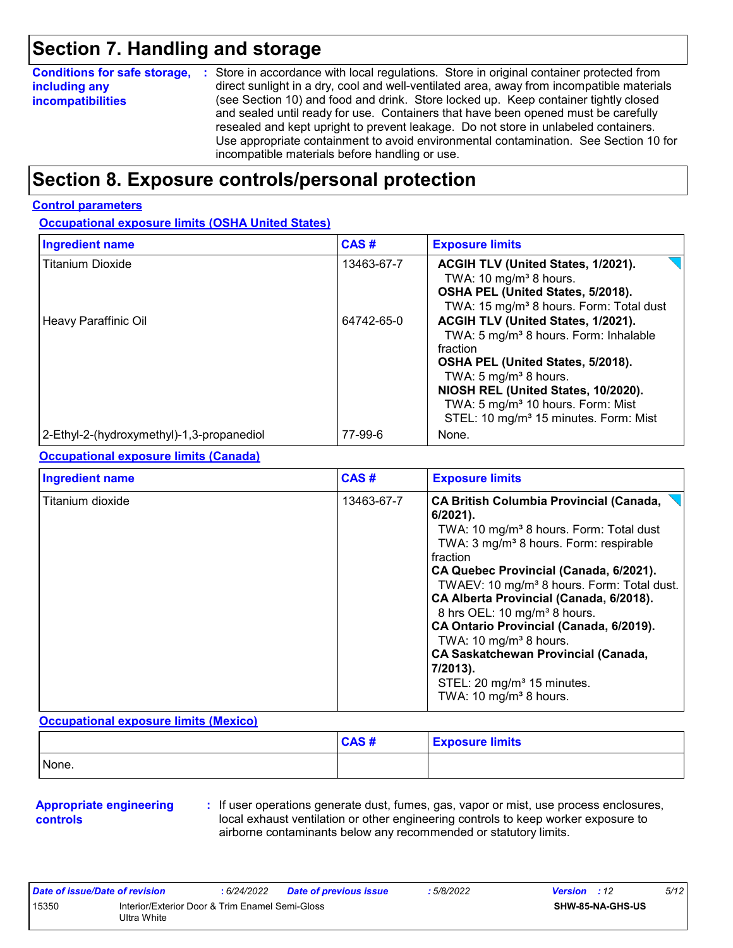### **Section 7. Handling and storage**

| <b>Conditions for safe storage,</b> | : Store in accordance with local regulations. Store in original container protected from                                                                                  |
|-------------------------------------|---------------------------------------------------------------------------------------------------------------------------------------------------------------------------|
| including any                       | direct sunlight in a dry, cool and well-ventilated area, away from incompatible materials                                                                                 |
| <b>incompatibilities</b>            | (see Section 10) and food and drink. Store locked up. Keep container tightly closed<br>and sealed until ready for use. Containers that have been opened must be carefully |
|                                     | resealed and kept upright to prevent leakage. Do not store in unlabeled containers.                                                                                       |
|                                     | Use appropriate containment to avoid environmental contamination. See Section 10 for                                                                                      |
|                                     | incompatible materials before handling or use.                                                                                                                            |

### **Section 8. Exposure controls/personal protection**

#### **Control parameters**

### **Occupational exposure limits (OSHA United States)**

| <b>Ingredient name</b>                    | CAS#       | <b>Exposure limits</b>                                                                                                                                                                                                                                                                                                     |
|-------------------------------------------|------------|----------------------------------------------------------------------------------------------------------------------------------------------------------------------------------------------------------------------------------------------------------------------------------------------------------------------------|
| <b>Titanium Dioxide</b>                   | 13463-67-7 | ACGIH TLV (United States, 1/2021).<br>TWA: 10 mg/m <sup>3</sup> 8 hours.<br>OSHA PEL (United States, 5/2018).<br>TWA: 15 mg/m <sup>3</sup> 8 hours. Form: Total dust                                                                                                                                                       |
| Heavy Paraffinic Oil                      | 64742-65-0 | ACGIH TLV (United States, 1/2021).<br>TWA: 5 mg/m <sup>3</sup> 8 hours. Form: Inhalable<br>fraction<br>OSHA PEL (United States, 5/2018).<br>TWA: 5 mg/m <sup>3</sup> 8 hours.<br>NIOSH REL (United States, 10/2020).<br>TWA: 5 mg/m <sup>3</sup> 10 hours. Form: Mist<br>STEL: 10 mg/m <sup>3</sup> 15 minutes. Form: Mist |
| 2-Ethyl-2-(hydroxymethyl)-1,3-propanediol | 77-99-6    | None.                                                                                                                                                                                                                                                                                                                      |

#### **Occupational exposure limits (Canada)**

| <b>Ingredient name</b> | CAS#       | <b>Exposure limits</b>                                                                                                                                                                                                                                                                                                                                                                                                                                                                                                                                                                                    |
|------------------------|------------|-----------------------------------------------------------------------------------------------------------------------------------------------------------------------------------------------------------------------------------------------------------------------------------------------------------------------------------------------------------------------------------------------------------------------------------------------------------------------------------------------------------------------------------------------------------------------------------------------------------|
| Titanium dioxide       | 13463-67-7 | <b>CA British Columbia Provincial (Canada,</b><br>6/2021).<br>TWA: 10 mg/m <sup>3</sup> 8 hours. Form: Total dust<br>TWA: 3 mg/m <sup>3</sup> 8 hours. Form: respirable<br>fraction<br>CA Quebec Provincial (Canada, 6/2021).<br>TWAEV: 10 mg/m <sup>3</sup> 8 hours. Form: Total dust.<br>CA Alberta Provincial (Canada, 6/2018).<br>8 hrs OEL: 10 mg/m <sup>3</sup> 8 hours.<br>CA Ontario Provincial (Canada, 6/2019).<br>TWA: 10 mg/m <sup>3</sup> 8 hours.<br><b>CA Saskatchewan Provincial (Canada,</b><br>7/2013).<br>STEL: 20 mg/m <sup>3</sup> 15 minutes.<br>TWA: 10 mg/m <sup>3</sup> 8 hours. |

#### **Occupational exposure limits (Mexico)**

|       | <b>CAS#</b> | <b>Exposure limits</b> |
|-------|-------------|------------------------|
| None. |             |                        |

#### **Appropriate engineering controls**

**:** If user operations generate dust, fumes, gas, vapor or mist, use process enclosures, local exhaust ventilation or other engineering controls to keep worker exposure to airborne contaminants below any recommended or statutory limits.

| Date of issue/Date of revision |                                                                | : 6/24/2022 | <b>Date of previous issue</b> | : 5/8/2022 | <b>Version</b> : 12 |                         | 5/12 |
|--------------------------------|----------------------------------------------------------------|-------------|-------------------------------|------------|---------------------|-------------------------|------|
| 15350                          | Interior/Exterior Door & Trim Enamel Semi-Gloss<br>Ultra White |             |                               |            |                     | <b>SHW-85-NA-GHS-US</b> |      |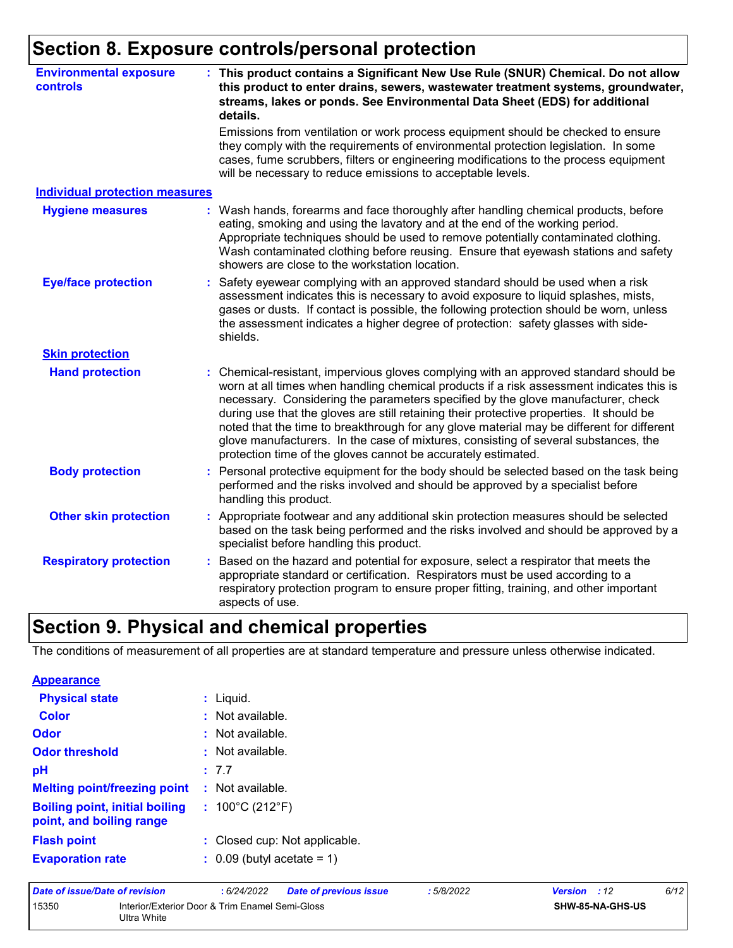## **Section 8. Exposure controls/personal protection**

| <b>Environmental exposure</b><br>controls |    | : This product contains a Significant New Use Rule (SNUR) Chemical. Do not allow<br>this product to enter drains, sewers, wastewater treatment systems, groundwater,<br>streams, lakes or ponds. See Environmental Data Sheet (EDS) for additional<br>details.                                                                                                                                                                                                                                                                                                                                                       |
|-------------------------------------------|----|----------------------------------------------------------------------------------------------------------------------------------------------------------------------------------------------------------------------------------------------------------------------------------------------------------------------------------------------------------------------------------------------------------------------------------------------------------------------------------------------------------------------------------------------------------------------------------------------------------------------|
|                                           |    | Emissions from ventilation or work process equipment should be checked to ensure<br>they comply with the requirements of environmental protection legislation. In some<br>cases, fume scrubbers, filters or engineering modifications to the process equipment<br>will be necessary to reduce emissions to acceptable levels.                                                                                                                                                                                                                                                                                        |
| <b>Individual protection measures</b>     |    |                                                                                                                                                                                                                                                                                                                                                                                                                                                                                                                                                                                                                      |
| <b>Hygiene measures</b>                   |    | Wash hands, forearms and face thoroughly after handling chemical products, before<br>eating, smoking and using the lavatory and at the end of the working period.<br>Appropriate techniques should be used to remove potentially contaminated clothing.<br>Wash contaminated clothing before reusing. Ensure that eyewash stations and safety<br>showers are close to the workstation location.                                                                                                                                                                                                                      |
| <b>Eye/face protection</b>                |    | Safety eyewear complying with an approved standard should be used when a risk<br>assessment indicates this is necessary to avoid exposure to liquid splashes, mists,<br>gases or dusts. If contact is possible, the following protection should be worn, unless<br>the assessment indicates a higher degree of protection: safety glasses with side-<br>shields.                                                                                                                                                                                                                                                     |
| <b>Skin protection</b>                    |    |                                                                                                                                                                                                                                                                                                                                                                                                                                                                                                                                                                                                                      |
| <b>Hand protection</b>                    |    | Chemical-resistant, impervious gloves complying with an approved standard should be<br>worn at all times when handling chemical products if a risk assessment indicates this is<br>necessary. Considering the parameters specified by the glove manufacturer, check<br>during use that the gloves are still retaining their protective properties. It should be<br>noted that the time to breakthrough for any glove material may be different for different<br>glove manufacturers. In the case of mixtures, consisting of several substances, the<br>protection time of the gloves cannot be accurately estimated. |
| <b>Body protection</b>                    | ÷. | Personal protective equipment for the body should be selected based on the task being<br>performed and the risks involved and should be approved by a specialist before<br>handling this product.                                                                                                                                                                                                                                                                                                                                                                                                                    |
| <b>Other skin protection</b>              |    | : Appropriate footwear and any additional skin protection measures should be selected<br>based on the task being performed and the risks involved and should be approved by a<br>specialist before handling this product.                                                                                                                                                                                                                                                                                                                                                                                            |
| <b>Respiratory protection</b>             | t. | Based on the hazard and potential for exposure, select a respirator that meets the<br>appropriate standard or certification. Respirators must be used according to a<br>respiratory protection program to ensure proper fitting, training, and other important<br>aspects of use.                                                                                                                                                                                                                                                                                                                                    |

### **Section 9. Physical and chemical properties**

The conditions of measurement of all properties are at standard temperature and pressure unless otherwise indicated.

| <b>Appearance</b>                                                 |                                       |
|-------------------------------------------------------------------|---------------------------------------|
| <b>Physical state</b>                                             | : Liquid.                             |
| Color                                                             | Not available.                        |
| <b>Odor</b>                                                       | $:$ Not available.                    |
| <b>Odor threshold</b>                                             | Not available.                        |
| рH                                                                | : 7.7                                 |
| <b>Melting point/freezing point</b>                               | $:$ Not available.                    |
| <b>Boiling point, initial boiling</b><br>point, and boiling range | : $100^{\circ}$ C (212 $^{\circ}$ F)  |
| <b>Flash point</b>                                                | : Closed cup: Not applicable.         |
| <b>Evaporation rate</b>                                           | $\therefore$ 0.09 (butyl acetate = 1) |

| Date of issue/Date of revision |                                                                | : 6/24/2022 | <b>Date of previous issue</b> | : 5/8/2022 | <b>Version</b> : 12 |                         | 6/12 |
|--------------------------------|----------------------------------------------------------------|-------------|-------------------------------|------------|---------------------|-------------------------|------|
| 15350                          | Interior/Exterior Door & Trim Enamel Semi-Gloss<br>Ultra White |             |                               |            |                     | <b>SHW-85-NA-GHS-US</b> |      |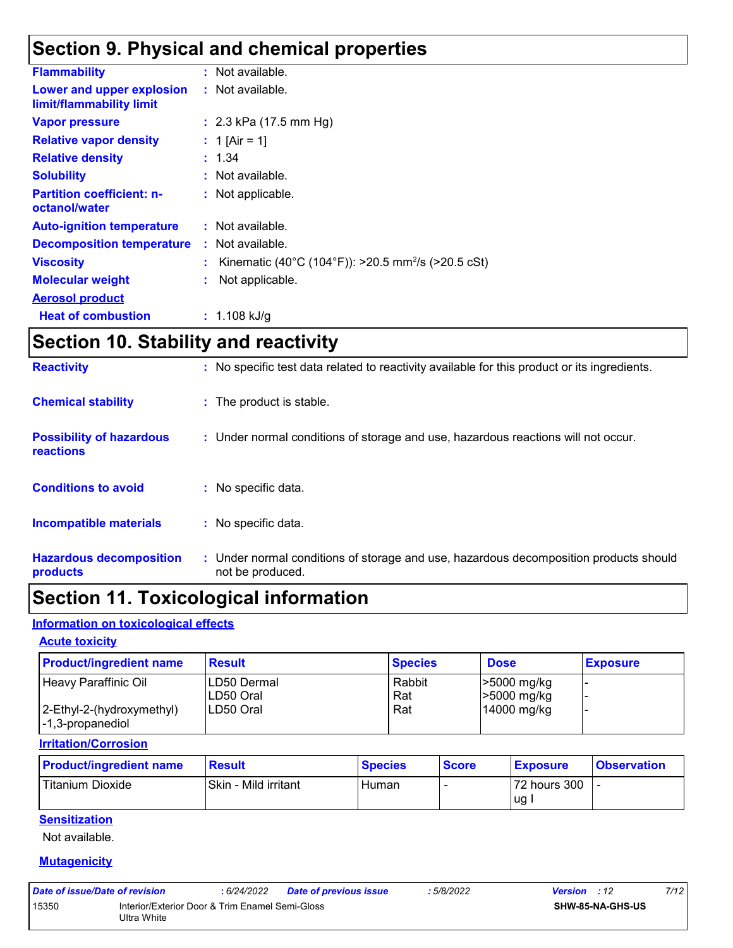### **Section 9. Physical and chemical properties**

|                                                       | : Not available.                                               |
|-------------------------------------------------------|----------------------------------------------------------------|
| <b>Flammability</b>                                   |                                                                |
| Lower and upper explosion<br>limit/flammability limit | : Not available.                                               |
| <b>Vapor pressure</b>                                 | : $2.3$ kPa (17.5 mm Hg)                                       |
| <b>Relative vapor density</b>                         | : 1 [Air = 1]                                                  |
| <b>Relative density</b>                               | : 1.34                                                         |
| <b>Solubility</b>                                     | : Not available.                                               |
| <b>Partition coefficient: n-</b><br>octanol/water     | : Not applicable.                                              |
| <b>Auto-ignition temperature</b>                      | : Not available.                                               |
| <b>Decomposition temperature</b>                      | : Not available.                                               |
| <b>Viscosity</b>                                      | Kinematic (40°C (104°F)): >20.5 mm <sup>2</sup> /s (>20.5 cSt) |
| <b>Molecular weight</b>                               | Not applicable.                                                |
| <b>Aerosol product</b>                                |                                                                |
| <b>Heat of combustion</b>                             | : $1.108$ kJ/g                                                 |
|                                                       |                                                                |

### **Section 10. Stability and reactivity**

| <b>Hazardous decomposition</b><br>products   | : Under normal conditions of storage and use, hazardous decomposition products should<br>not be produced. |
|----------------------------------------------|-----------------------------------------------------------------------------------------------------------|
| Incompatible materials                       | : No specific data.                                                                                       |
| <b>Conditions to avoid</b>                   | : No specific data.                                                                                       |
| <b>Possibility of hazardous</b><br>reactions | : Under normal conditions of storage and use, hazardous reactions will not occur.                         |
| <b>Chemical stability</b>                    | : The product is stable.                                                                                  |
| <b>Reactivity</b>                            | : No specific test data related to reactivity available for this product or its ingredients.              |

### **Section 11. Toxicological information**

#### **Information on toxicological effects**

#### **Acute toxicity**

| <b>Product/ingredient name</b> | <b>Result</b> | <b>Species</b> | <b>Dose</b> | <b>Exposure</b> |
|--------------------------------|---------------|----------------|-------------|-----------------|
| Heavy Paraffinic Oil           | ILD50 Dermal  | Rabbit         | >5000 mg/kg |                 |
|                                | ILD50 Oral    | Rat            | >5000 mg/kg |                 |
| 2-Ethyl-2-(hydroxymethyl)      | ILD50 Oral    | Rat            | 14000 mg/kg |                 |
| I-1,3-propanediol              |               |                |             |                 |

#### **Irritation/Corrosion**

| <b>Product/ingredient name</b> | <b>Result</b>        | <b>Species</b> | <b>Score</b> | <b>Exposure</b> | <b>Observation</b> |
|--------------------------------|----------------------|----------------|--------------|-----------------|--------------------|
| l Titanium Dioxide             | Skin - Mild irritant | Human          |              | 72 hours 300    |                    |
|                                |                      |                |              | 'ug             |                    |

### **Sensitization**

Not available.

#### **Mutagenicity**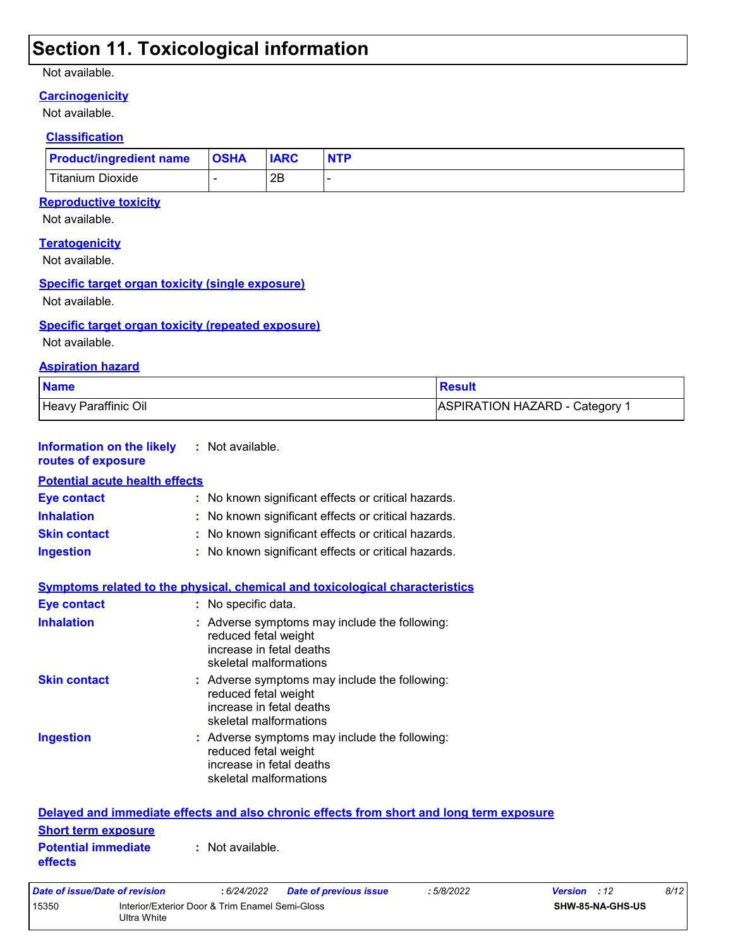### **Section 11. Toxicological information**

#### Not available.

#### **Carcinogenicity**

Not available.

#### **Classification**

| <b>Product/ingredient name</b> | <b>OSHA</b> | <b>IARC</b> | <b>NTP</b> |
|--------------------------------|-------------|-------------|------------|
| <b>Titanium Dioxide</b>        |             | 2Β          |            |

#### **Reproductive toxicity**

Not available.

#### **Teratogenicity**

Not available.

#### **Specific target organ toxicity (single exposure)**

Not available.

#### **Specific target organ toxicity (repeated exposure)**

15350 Interior/Exterior Door & Trim Enamel Semi-Gloss

Ultra White

Not available.

#### **Aspiration hazard**

| <b>Name</b>          | <b>Result</b>                |
|----------------------|------------------------------|
| Heavy Paraffinic Oil | ASPIRATION HAZARD - Category |

| <b>Information on the likely</b><br>routes of exposure | : Not available.                                                                                                            |
|--------------------------------------------------------|-----------------------------------------------------------------------------------------------------------------------------|
| <b>Potential acute health effects</b>                  |                                                                                                                             |
| <b>Eye contact</b>                                     | : No known significant effects or critical hazards.                                                                         |
| <b>Inhalation</b>                                      | : No known significant effects or critical hazards.                                                                         |
| <b>Skin contact</b>                                    | : No known significant effects or critical hazards.                                                                         |
| <b>Ingestion</b>                                       | : No known significant effects or critical hazards.                                                                         |
|                                                        | Symptoms related to the physical, chemical and toxicological characteristics                                                |
| <b>Eye contact</b>                                     | : No specific data.                                                                                                         |
| <b>Inhalation</b>                                      | : Adverse symptoms may include the following:<br>reduced fetal weight<br>increase in fetal deaths<br>skeletal malformations |
| <b>Skin contact</b>                                    | : Adverse symptoms may include the following:<br>reduced fetal weight<br>increase in fetal deaths<br>skeletal malformations |
| <b>Ingestion</b>                                       | : Adverse symptoms may include the following:<br>reduced fetal weight<br>increase in fetal deaths<br>skeletal malformations |
|                                                        | Delayed and immediate effects and also chronic effects from short and long term exposure                                    |
| <b>Short term exposure</b>                             |                                                                                                                             |
| <b>Potential immediate</b><br>effects                  | : Not available.                                                                                                            |
| <b>Date of issue/Date of revision</b>                  | 8/12<br>: 6/24/2022<br>Version : 12<br><b>Date of previous issue</b><br>:5/8/2022                                           |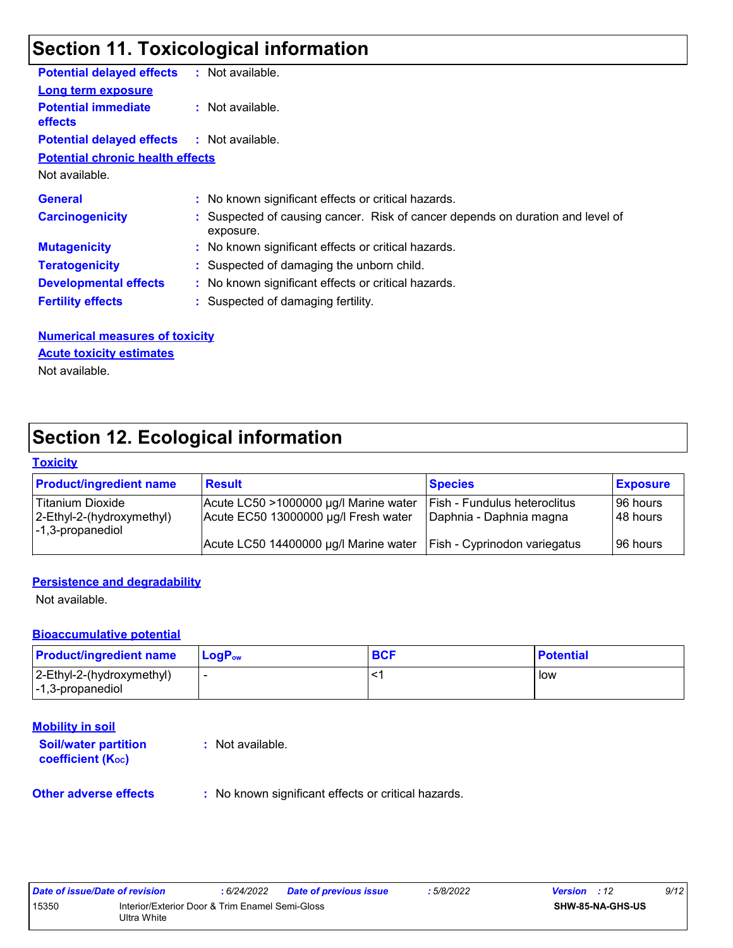### **Section 11. Toxicological information**

| <b>Potential delayed effects</b>                  | : Not available.                                                                            |
|---------------------------------------------------|---------------------------------------------------------------------------------------------|
| <b>Long term exposure</b>                         |                                                                                             |
| <b>Potential immediate</b><br><b>effects</b>      | : Not available.                                                                            |
| <b>Potential delayed effects : Not available.</b> |                                                                                             |
| <b>Potential chronic health effects</b>           |                                                                                             |
| Not available.                                    |                                                                                             |
| <b>General</b>                                    | : No known significant effects or critical hazards.                                         |
| <b>Carcinogenicity</b>                            | : Suspected of causing cancer. Risk of cancer depends on duration and level of<br>exposure. |
| <b>Mutagenicity</b>                               | : No known significant effects or critical hazards.                                         |
| <b>Teratogenicity</b>                             | : Suspected of damaging the unborn child.                                                   |
| <b>Developmental effects</b>                      | : No known significant effects or critical hazards.                                         |
| <b>Fertility effects</b>                          | : Suspected of damaging fertility.                                                          |

### **Numerical measures of toxicity**

**Acute toxicity estimates**

Not available.

### **Section 12. Ecological information**

#### **Toxicity**

| <b>Product/ingredient name</b>                                                            | <b>Result</b>                                                                 | <b>Species</b>                                                 | <b>Exposure</b>        |
|-------------------------------------------------------------------------------------------|-------------------------------------------------------------------------------|----------------------------------------------------------------|------------------------|
| Titanium Dioxide<br>2-Ethyl-2-(hydroxymethyl)<br>$\left  -1, 3\text{-propanediol}\right $ | Acute LC50 >1000000 µg/l Marine water<br>Acute EC50 13000000 µg/l Fresh water | <b>Fish - Fundulus heteroclitus</b><br>Daphnia - Daphnia magna | 96 hours<br>I 48 hours |
|                                                                                           | Acute LC50 14400000 µg/l Marine water                                         | Fish - Cyprinodon variegatus                                   | 196 hours              |

#### **Persistence and degradability**

Not available.

#### **Bioaccumulative potential**

| <b>Product/ingredient name</b>                                            | l LoɑP <sub>∾</sub> | <b>BCF</b> | <b>Potential</b> |
|---------------------------------------------------------------------------|---------------------|------------|------------------|
| $ 2$ -Ethyl-2-(hydroxymethyl)<br>$\left  -1, 3\text{-propanediol}\right $ |                     |            | low              |

#### **Mobility in soil**

**Soil/water partition coefficient (KOC) :** Not available.

**Other adverse effects** : No known significant effects or critical hazards.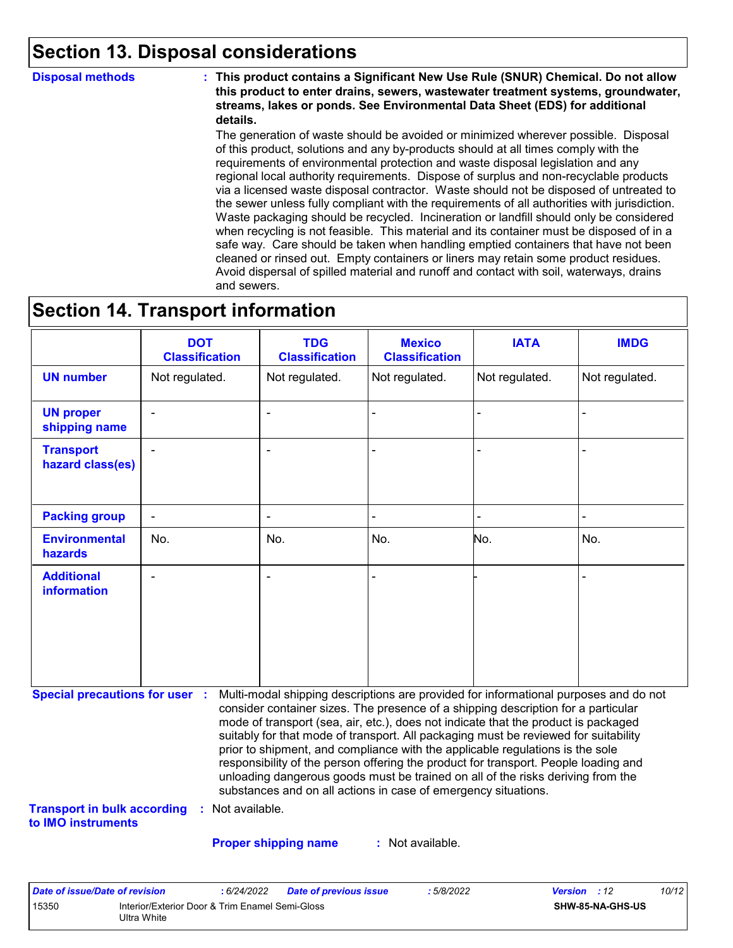### **Section 13. Disposal considerations**

**Disposal methods : This product contains a Significant New Use Rule (SNUR) Chemical. Do not allow this product to enter drains, sewers, wastewater treatment systems, groundwater, streams, lakes or ponds. See Environmental Data Sheet (EDS) for additional details.**

> The generation of waste should be avoided or minimized wherever possible. Disposal of this product, solutions and any by-products should at all times comply with the requirements of environmental protection and waste disposal legislation and any regional local authority requirements. Dispose of surplus and non-recyclable products via a licensed waste disposal contractor. Waste should not be disposed of untreated to the sewer unless fully compliant with the requirements of all authorities with jurisdiction. Waste packaging should be recycled. Incineration or landfill should only be considered when recycling is not feasible. This material and its container must be disposed of in a safe way. Care should be taken when handling emptied containers that have not been cleaned or rinsed out. Empty containers or liners may retain some product residues. Avoid dispersal of spilled material and runoff and contact with soil, waterways, drains and sewers.

### **Section 14. Transport information**

|                                      | <b>DOT</b><br><b>Classification</b> | <b>TDG</b><br><b>Classification</b> | <b>Mexico</b><br><b>Classification</b> | <b>IATA</b>    | <b>IMDG</b>    |
|--------------------------------------|-------------------------------------|-------------------------------------|----------------------------------------|----------------|----------------|
| <b>UN number</b>                     | Not regulated.                      | Not regulated.                      | Not regulated.                         | Not regulated. | Not regulated. |
| <b>UN proper</b><br>shipping name    | $\blacksquare$                      | $\blacksquare$                      |                                        |                |                |
| <b>Transport</b><br>hazard class(es) | $\blacksquare$                      | $\blacksquare$                      | $\blacksquare$                         | -              | $\blacksquare$ |
| <b>Packing group</b>                 | $\overline{\phantom{a}}$            | $\blacksquare$                      | $\blacksquare$                         | ۰              | $\blacksquare$ |
| <b>Environmental</b><br>hazards      | No.                                 | No.                                 | No.                                    | No.            | No.            |
| <b>Additional</b><br>information     | $\blacksquare$                      | $\blacksquare$                      | $\blacksquare$                         |                | $\blacksquare$ |

**Special precautions for user :** Multi-modal shipping descriptions are provided for informational purposes and do not consider container sizes. The presence of a shipping description for a particular mode of transport (sea, air, etc.), does not indicate that the product is packaged suitably for that mode of transport. All packaging must be reviewed for suitability prior to shipment, and compliance with the applicable regulations is the sole responsibility of the person offering the product for transport. People loading and unloading dangerous goods must be trained on all of the risks deriving from the substances and on all actions in case of emergency situations.

**Transport in bulk according :** Not available. **to IMO instruments**

**Proper shipping name :**

: Not available.

| Date of issue/Date of revision |                                                                | : 6/24/2022 | <b>Date of previous issue</b> | : 5/8/2022 | <b>Version</b> : 12 |                         | 10/12 |
|--------------------------------|----------------------------------------------------------------|-------------|-------------------------------|------------|---------------------|-------------------------|-------|
| 15350                          | Interior/Exterior Door & Trim Enamel Semi-Gloss<br>Ultra White |             |                               |            |                     | <b>SHW-85-NA-GHS-US</b> |       |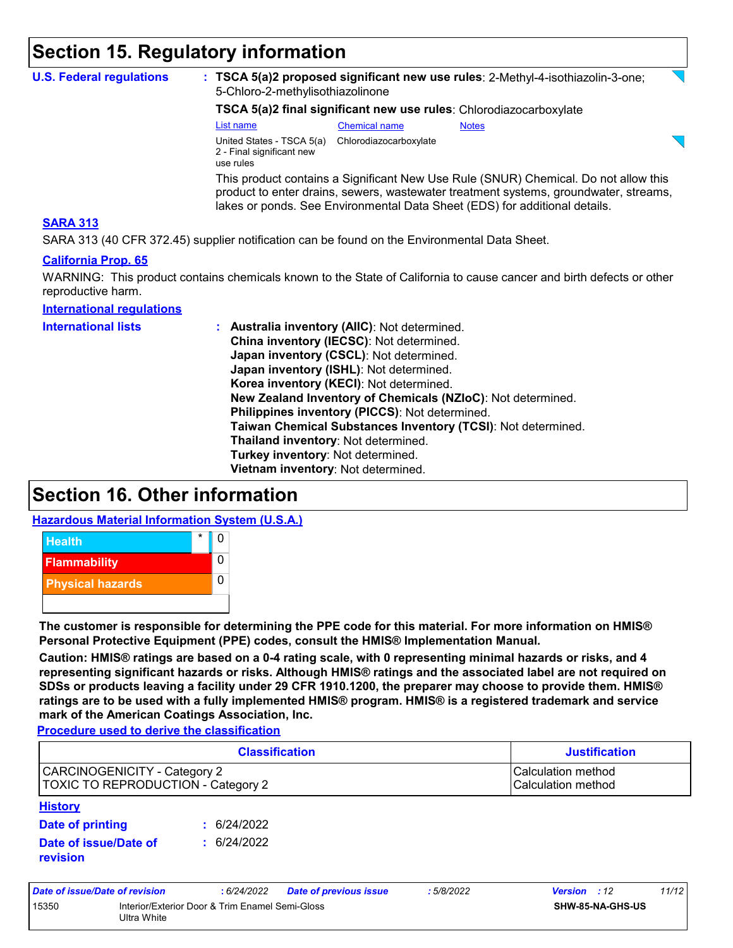### **Section 15. Regulatory information**

|                                                                                                                                                    | 5-Chloro-2-methylisothiazolinone                                                                                                                                                                                                                          |                        | : TSCA 5(a)2 proposed significant new use rules: 2-Methyl-4-isothiazolin-3-one; |  |  |  |  |
|----------------------------------------------------------------------------------------------------------------------------------------------------|-----------------------------------------------------------------------------------------------------------------------------------------------------------------------------------------------------------------------------------------------------------|------------------------|---------------------------------------------------------------------------------|--|--|--|--|
|                                                                                                                                                    | TSCA 5(a)2 final significant new use rules: Chlorodiazocarboxylate                                                                                                                                                                                        |                        |                                                                                 |  |  |  |  |
|                                                                                                                                                    | List name                                                                                                                                                                                                                                                 | <b>Chemical name</b>   | <b>Notes</b>                                                                    |  |  |  |  |
|                                                                                                                                                    | United States - TSCA 5(a)<br>2 - Final significant new<br>use rules                                                                                                                                                                                       | Chlorodiazocarboxylate |                                                                                 |  |  |  |  |
|                                                                                                                                                    | This product contains a Significant New Use Rule (SNUR) Chemical. Do not allow this<br>product to enter drains, sewers, wastewater treatment systems, groundwater, streams,<br>lakes or ponds. See Environmental Data Sheet (EDS) for additional details. |                        |                                                                                 |  |  |  |  |
| <b>SARA 313</b>                                                                                                                                    |                                                                                                                                                                                                                                                           |                        |                                                                                 |  |  |  |  |
| SARA 313 (40 CFR 372.45) supplier notification can be found on the Environmental Data Sheet.                                                       |                                                                                                                                                                                                                                                           |                        |                                                                                 |  |  |  |  |
| <b>California Prop. 65</b><br>WARNING: This product contains chemicals known to the State of California to cause cancer and birth defects or other |                                                                                                                                                                                                                                                           |                        |                                                                                 |  |  |  |  |
| reproductive harm.<br><b>International regulations</b>                                                                                             |                                                                                                                                                                                                                                                           |                        |                                                                                 |  |  |  |  |

### **Section 16. Other information**

**Hazardous Material Information System (U.S.A.)**



**The customer is responsible for determining the PPE code for this material. For more information on HMIS® Personal Protective Equipment (PPE) codes, consult the HMIS® Implementation Manual.**

**Caution: HMIS® ratings are based on a 0-4 rating scale, with 0 representing minimal hazards or risks, and 4 representing significant hazards or risks. Although HMIS® ratings and the associated label are not required on SDSs or products leaving a facility under 29 CFR 1910.1200, the preparer may choose to provide them. HMIS® ratings are to be used with a fully implemented HMIS® program. HMIS® is a registered trademark and service mark of the American Coatings Association, Inc.**

**Procedure used to derive the classification**

|                                                                           | <b>Classification</b> | <b>Justification</b>                     |  |  |
|---------------------------------------------------------------------------|-----------------------|------------------------------------------|--|--|
| CARCINOGENICITY - Category 2<br><b>TOXIC TO REPRODUCTION - Category 2</b> |                       | Calculation method<br>Calculation method |  |  |
| <b>History</b>                                                            |                       |                                          |  |  |
| Date of printing                                                          | 6/24/2022             |                                          |  |  |
| Date of issue/Date of<br>revision                                         | 6/24/2022             |                                          |  |  |

| Date of issue/Date of revision |                                                                | : 6/24/2022 | <b>Date of previous issue</b> | 5/8/2022 | <b>Version</b> : 12 |                         | 11/12 |
|--------------------------------|----------------------------------------------------------------|-------------|-------------------------------|----------|---------------------|-------------------------|-------|
| 15350                          | Interior/Exterior Door & Trim Enamel Semi-Gloss<br>Ultra White |             |                               |          |                     | <b>SHW-85-NA-GHS-US</b> |       |